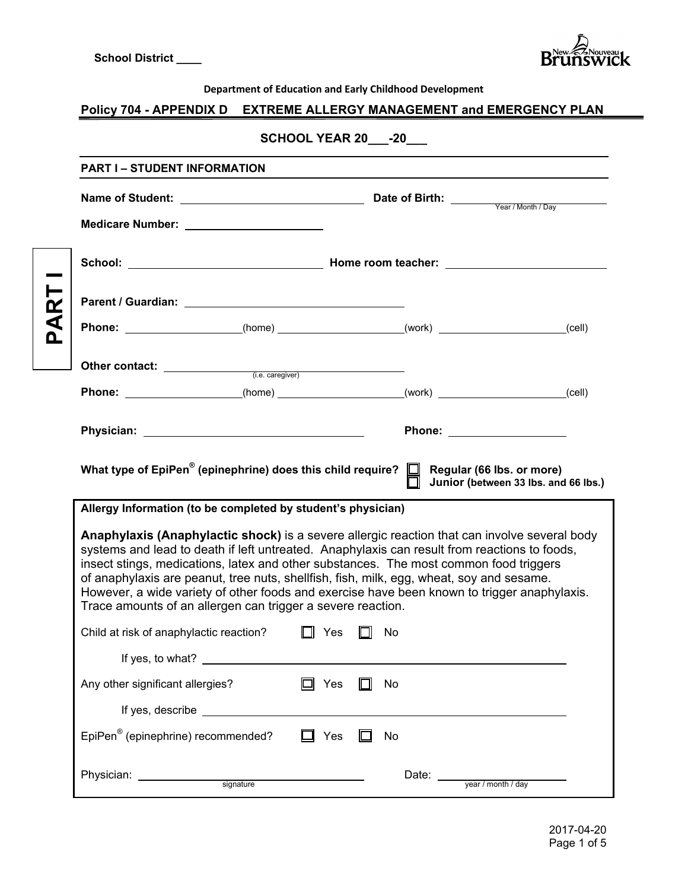

#### **Department of Education and Early Childhood Development**

# **Policy 704 - APPENDIX D EXTREME ALLERGY MANAGEMENT and EMERGENCY PLAN**

# **SCHOOL YEAR 20\_\_\_-20\_\_\_**

| Phone: ____________________(home) ______________________(work) ___________________(cell)                                                                                                                                                                                                                                                              |                                                                                                                                                                                                                                      |            |           |                      |                                      |
|-------------------------------------------------------------------------------------------------------------------------------------------------------------------------------------------------------------------------------------------------------------------------------------------------------------------------------------------------------|--------------------------------------------------------------------------------------------------------------------------------------------------------------------------------------------------------------------------------------|------------|-----------|----------------------|--------------------------------------|
|                                                                                                                                                                                                                                                                                                                                                       |                                                                                                                                                                                                                                      |            |           |                      |                                      |
| Phone: ____________________(home) _____________________(work) ___________________(cell)                                                                                                                                                                                                                                                               |                                                                                                                                                                                                                                      |            |           |                      |                                      |
|                                                                                                                                                                                                                                                                                                                                                       |                                                                                                                                                                                                                                      |            |           | <b>Phone:</b> Phone: |                                      |
| What type of EpiPen® (epinephrine) does this child require? $\Box$ Regular (66 lbs. or more)                                                                                                                                                                                                                                                          |                                                                                                                                                                                                                                      |            |           |                      |                                      |
|                                                                                                                                                                                                                                                                                                                                                       |                                                                                                                                                                                                                                      |            |           |                      |                                      |
| Allergy Information (to be completed by student's physician)<br>Anaphylaxis (Anaphylactic shock) is a severe allergic reaction that can involve several body<br>systems and lead to death if left untreated. Anaphylaxis can result from reactions to foods,<br>insect stings, medications, latex and other substances. The most common food triggers |                                                                                                                                                                                                                                      |            |           |                      |                                      |
| of anaphylaxis are peanut, tree nuts, shellfish, fish, milk, egg, wheat, soy and sesame.<br>However, a wide variety of other foods and exercise have been known to trigger anaphylaxis.<br>Trace amounts of an allergen can trigger a severe reaction.                                                                                                |                                                                                                                                                                                                                                      |            |           |                      |                                      |
| Child at risk of anaphylactic reaction?                                                                                                                                                                                                                                                                                                               |                                                                                                                                                                                                                                      | $\Box$ Yes | $\Box$ No |                      |                                      |
| If yes, to what? __________                                                                                                                                                                                                                                                                                                                           |                                                                                                                                                                                                                                      |            |           |                      |                                      |
| Any other significant allergies?                                                                                                                                                                                                                                                                                                                      |                                                                                                                                                                                                                                      | Yes        | No        |                      |                                      |
|                                                                                                                                                                                                                                                                                                                                                       | If yes, describe <b>the contract of the set of the set of the set of the set of the set of the set of the set of the set of the set of the set of the set of the set of the set of the set of the set of the set of the set of t</b> |            |           |                      |                                      |
| EpiPen <sup>®</sup> (epinephrine) recommended?                                                                                                                                                                                                                                                                                                        |                                                                                                                                                                                                                                      | Yes        | No        |                      | Junior (between 33 lbs. and 66 lbs.) |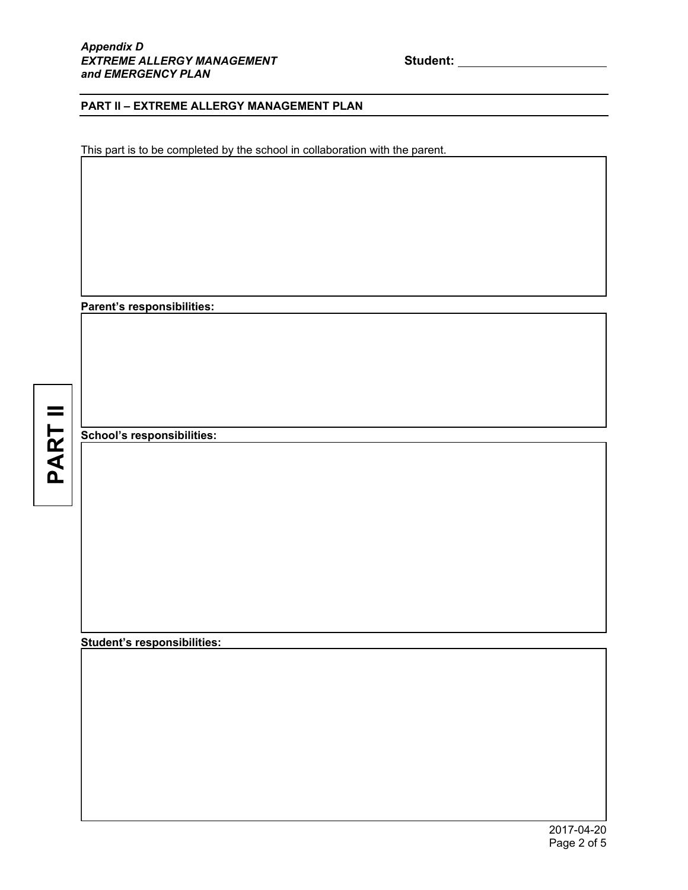### **PART II – EXTREME ALLERGY MANAGEMENT PLAN**

This part is to be completed by the school in collaboration with the parent.

**Parent's responsibilities:** 

**PART II**

I

I

I

I

**School's responsibilities:** 

**Student's responsibilities:**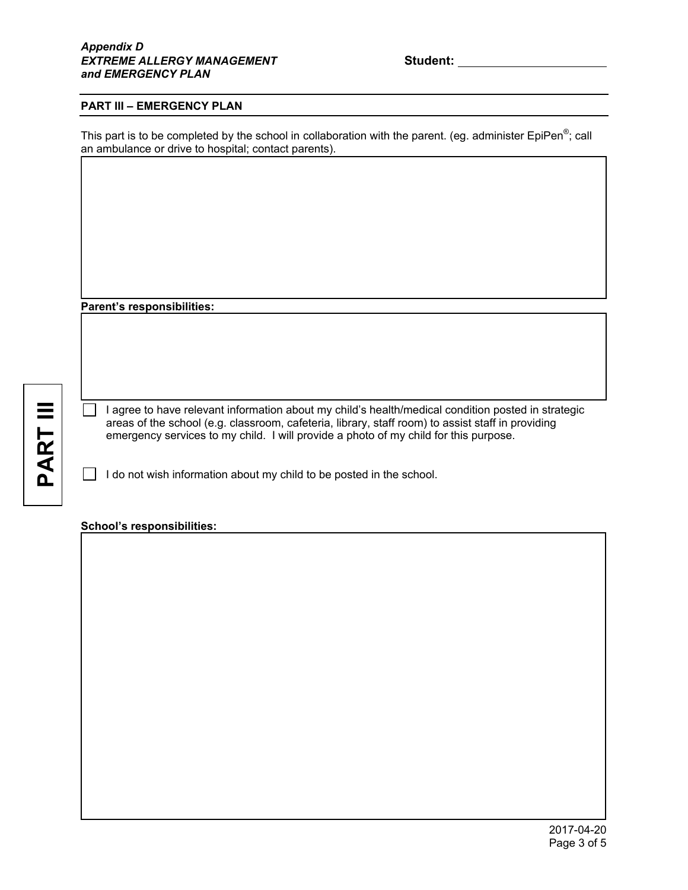### **PART III – EMERGENCY PLAN**

This part is to be completed by the school in collaboration with the parent. (eg. administer EpiPen<sup>®</sup>; call an ambulance or drive to hospital; contact parents).

**Parent's responsibilities:** 

**PART III** PART III I

I

 $\overline{\phantom{a}}$ 

 $\Box$  I agree to have relevant information about my child's health/medical condition posted in strategic areas of the school (e.g. classroom, cafeteria, library, staff room) to assist staff in providing emergency services to my child. I will provide a photo of my child for this purpose.

 $\Box$  I do not wish information about my child to be posted in the school.

#### **School's responsibilities:**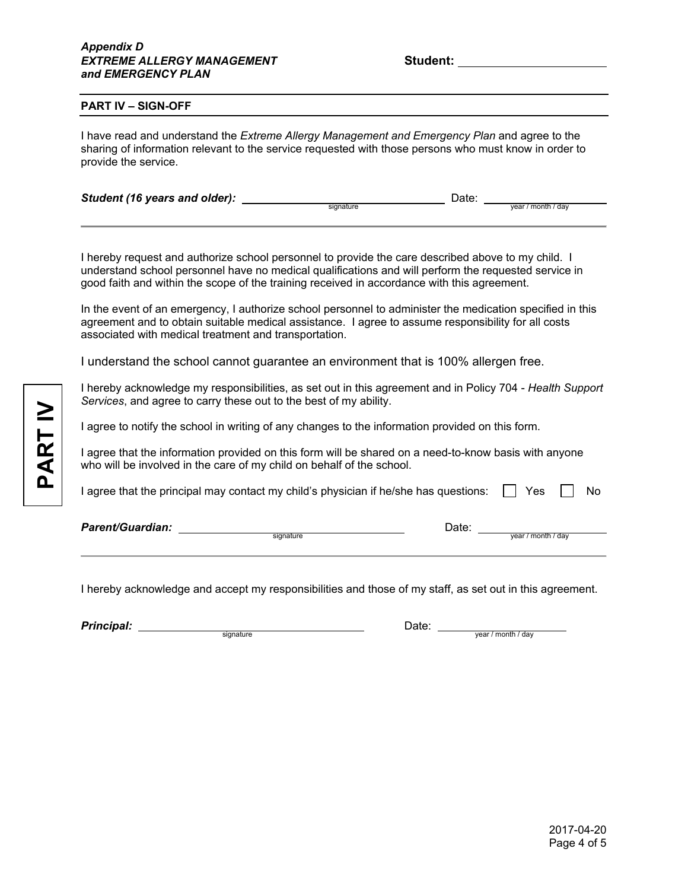#### **PART IV – SIGN-OFF**

I have read and understand the *Extreme Allergy Management and Emergency Plan* and agree to the sharing of information relevant to the service requested with those persons who must know in order to provide the service.

| Student (16 years and older): |           | Date: |                    |
|-------------------------------|-----------|-------|--------------------|
|                               | signature |       | vear / month / day |

I hereby request and authorize school personnel to provide the care described above to my child. I understand school personnel have no medical qualifications and will perform the requested service in good faith and within the scope of the training received in accordance with this agreement.

In the event of an emergency, I authorize school personnel to administer the medication specified in this agreement and to obtain suitable medical assistance. I agree to assume responsibility for all costs associated with medical treatment and transportation.

I understand the school cannot guarantee an environment that is 100% allergen free.

I hereby acknowledge my responsibilities, as set out in this agreement and in Policy 704 - *Health Support Services*, and agree to carry these out to the best of my ability.

I agree to notify the school in writing of any changes to the information provided on this form.

I agree that the information provided on this form will be shared on a need-to-know basis with anyone who will be involved in the care of my child on behalf of the school.

I agree that the principal may contact my child's physician if he/she has questions:  $\Box$  Yes  $\Box$  No

signature **year / month / day** 

I hereby acknowledge and accept my responsibilities and those of my staff, as set out in this agreement.

| <b>Principal:</b> |           | ⊃ate: |                     |
|-------------------|-----------|-------|---------------------|
|                   | sianature |       | month / dav<br>vear |